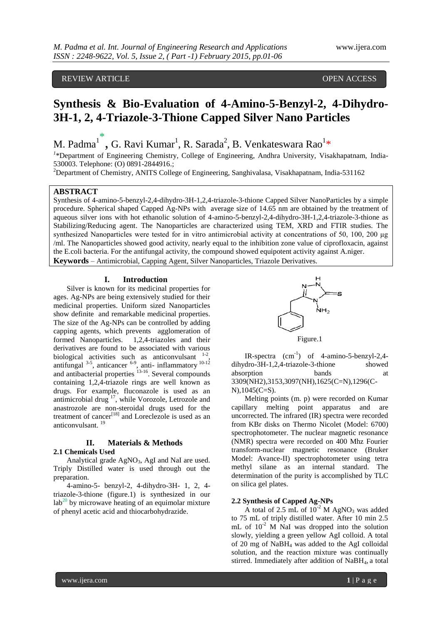# REVIEW ARTICLE **A CONSERVERY ARTICLE** A CONSERVERY AND THE OPEN ACCESS

# **Synthesis & Bio-Evaluation of 4-Amino-5-Benzyl-2, 4-Dihydro-3H-1, 2, 4-Triazole-3-Thione Capped Silver Nano Particles**

M. Padma $\overline{1}^*$ , G. Ravi Kumar<sup>1</sup>, R. Sarada<sup>2</sup>, B. Venkateswara Rao $\overline{1*}$ 

<sup>1</sup>\*Department of Engineering Chemistry, College of Engineering, Andhra University, Visakhapatnam, India-530003. Telephone: (O) 0891-2844916.;

<sup>2</sup>Department of Chemistry, ANITS College of Engineering, Sanghivalasa, Visakhapatnam, India-531162

## **ABSTRACT**

Synthesis of 4-amino-5-benzyl-2,4-dihydro-3H-1,2,4-triazole-3-thione Capped Silver NanoParticles by a simple procedure. Spherical shaped Capped Ag-NPs with average size of 14.65 nm are obtained by the treatment of aqueous silver ions with hot ethanolic solution of 4-amino-5-benzyl-2,4-dihydro-3H-1,2,4-triazole-3-thione as Stabilizing/Reducing agent. The Nanoparticles are characterized using TEM, XRD and FTIR studies. The synthesized Nanoparticles were tested for in vitro antimicrobial activity at concentrations of 50, 100, 200 μg /ml. The Nanoparticles showed good activity, nearly equal to the inhibition zone value of ciprofloxacin, against the E.coli bacteria. For the antifungal activity, the compound showed equipotent activity against A.niger. **Keywords** – Antimicrobial, Capping Agent, Silver Nanoparticles, Triazole Derivatives.

#### **I. Introduction**

Silver is known for its medicinal properties for ages. Ag-NPs are being extensively studied for their medicinal properties. Uniform sized Nanoparticles show definite and remarkable medicinal properties. The size of the Ag-NPs can be controlled by adding capping agents, which prevents agglomeration of formed Nanoparticles. 1,2,4-triazoles and their derivatives are found to be associated with various biological activities such as anticonvulsant  $1-2$ . , antifungal  $3-5$ , anticancer  $6-9$ , anti- inflammatory  $10-12$ and antibacterial properties  $13-16$ . Several compounds containing 1,2,4-triazole rings are well known as drugs. For example, fluconazole is used as an antimicrobial drug<sup>17</sup>, while Vorozole, Letrozole and anastrozole are non-steroidal drugs used for the treatment of cancer<sup>[18]</sup> and Loreclezole is used as an anticonvulsant.<sup>19</sup>

# **II. Materials & Methods**

### **2.1 Chemicals Used**

Analytical grade  $AgNO<sub>3</sub>$ , AgI and NaI are used. Triply Distilled water is used through out the preparation.

4-amino-5- benzyl-2, 4-dihydro-3H- 1, 2, 4 triazole-3-thione (figure.1) is synthesized in our  $\text{lab}^{20}$  by microwave heating of an equimolar mixture of phenyl acetic acid and thiocarbohydrazide.



IR-spectra  $(cm^{-1})$  of 4-amino-5-benzyl-2,4dihydro-3H-1,2,4-triazole-3-thione showed absorption bands at 3309(NH2),3153,3097(NH),1625(C=N),1296(C-N),1045(C=S).

Melting points (m. p) were recorded on Kumar capillary melting point apparatus and are uncorrected. The infrared (IR) spectra were recorded from KBr disks on Thermo Nicolet (Model: 6700) spectrophotometer. The nuclear magnetic resonance (NMR) spectra were recorded on 400 Mhz Fourier transform-nuclear magnetic resonance (Bruker Model: Avance-II) spectrophotometer using tetra methyl silane as an internal standard. The determination of the purity is accomplished by TLC on silica gel plates.

## **2.2 Synthesis of Capped Ag-NPs**

A total of 2.5 mL of  $10^{-2}$  M AgNO<sub>3</sub> was added to 75 mL of triply distilled water. After 10 min 2.5 mL of  $10^{-2}$  M NaI was dropped into the solution slowly, yielding a green yellow AgI colloid. A total of 20 mg of NaBH<sup>4</sup> was added to the AgI colloidal solution, and the reaction mixture was continually stirred. Immediately after addition of NaBH4, a total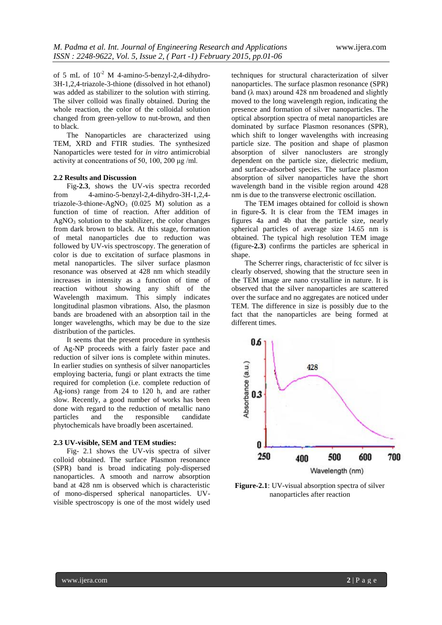of 5 mL of  $10^{-2}$  M 4-amino-5-benzyl-2,4-dihydro-3H-1,2,4-triazole-3-thione (dissolved in hot ethanol) was added as stabilizer to the solution with stirring. The silver colloid was finally obtained. During the whole reaction, the color of the colloidal solution changed from green-yellow to nut-brown, and then to black.

The Nanoparticles are characterized using TEM, XRD and FTIR studies. The synthesized Nanoparticles were tested for *in vitro* antimicrobial activity at concentrations of 50, 100, 200 μg /ml.

#### **2.2 Results and Discussion**

Fig**-2.3**, shows the UV-vis spectra recorded from 4-amino-5-benzyl-2,4-dihydro-3H-1,2,4 triazole-3-thione-AgNO<sub>3</sub> (0.025 M) solution as a function of time of reaction. After addition of  $AgNO<sub>3</sub>$  solution to the stabilizer, the color changes from dark brown to black. At this stage, formation of metal nanoparticles due to reduction was followed by UV-vis spectroscopy. The generation of color is due to excitation of surface plasmons in metal nanoparticles. The silver surface plasmon resonance was observed at 428 nm which steadily increases in intensity as a function of time of reaction without showing any shift of the Wavelength maximum. This simply indicates longitudinal plasmon vibrations. Also, the plasmon bands are broadened with an absorption tail in the longer wavelengths, which may be due to the size distribution of the particles.

It seems that the present procedure in synthesis of Ag-NP proceeds with a fairly faster pace and reduction of silver ions is complete within minutes. In earlier studies on synthesis of silver nanoparticles employing bacteria, fungi or plant extracts the time required for completion (i.e. complete reduction of Ag-ions) range from 24 to 120 h, and are rather slow. Recently, a good number of works has been done with regard to the reduction of metallic nano particles and the responsible candidate phytochemicals have broadly been ascertained.

#### **2.3 UV-visible, SEM and TEM studies:**

Fig- 2.1 shows the UV-vis spectra of silver colloid obtained. The surface Plasmon resonance (SPR) band is broad indicating poly-dispersed nanoparticles. A smooth and narrow absorption band at 428 nm is observed which is characteristic of mono-dispersed spherical nanoparticles. UVvisible spectroscopy is one of the most widely used techniques for structural characterization of silver nanoparticles. The surface plasmon resonance (SPR) band ( $\lambda$  max) around 428 nm broadened and slightly moved to the long wavelength region, indicating the presence and formation of silver nanoparticles. The optical absorption spectra of metal nanoparticles are dominated by surface Plasmon resonances (SPR), which shift to longer wavelengths with increasing particle size. The position and shape of plasmon absorption of silver nanoclusters are strongly dependent on the particle size, dielectric medium, and surface-adsorbed species. The surface plasmon absorption of silver nanoparticles have the short wavelength band in the visible region around 428 nm is due to the transverse electronic oscillation.

The TEM images obtained for colloid is shown in figure**-5**. It is clear from the TEM images in figures 4a and 4b that the particle size, nearly spherical particles of average size 14.65 nm is obtained. The typical high resolution TEM image (figure**-2.3**) confirms the particles are spherical in shape.

The Scherrer rings, characteristic of fcc silver is clearly observed, showing that the structure seen in the TEM image are nano crystalline in nature. It is observed that the silver nanoparticles are scattered over the surface and no aggregates are noticed under TEM. The difference in size is possibly due to the fact that the nanoparticles are being formed at different times.



**Figure-2.1**: UV-visual absorption spectra of silver nanoparticles after reaction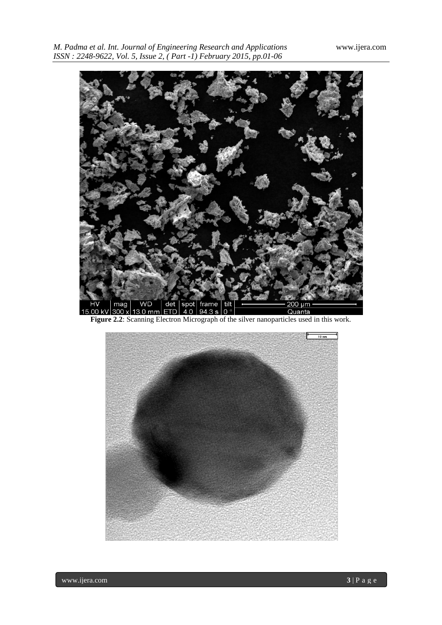

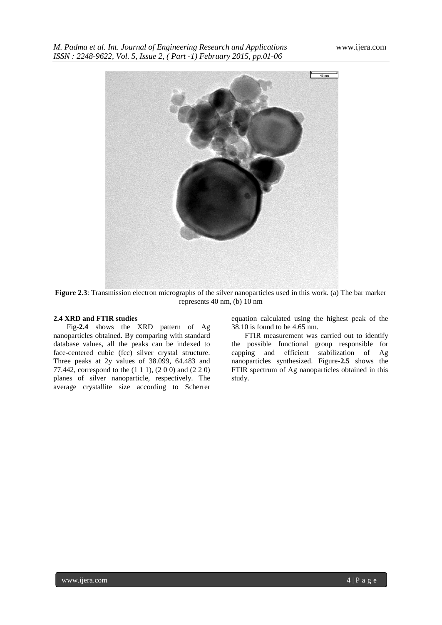

**Figure 2.3**: Transmission electron micrographs of the silver nanoparticles used in this work. (a) The bar marker represents 40 nm, (b) 10 nm

#### **2.4 XRD and FTIR studies**

Fig-**2.4** shows the XRD pattern of Ag nanoparticles obtained. By comparing with standard database values, all the peaks can be indexed to face-centered cubic (fcc) silver crystal structure. Three peaks at 2y values of 38.099, 64.483 and 77.442, correspond to the (1 1 1), (2 0 0) and (2 2 0) planes of silver nanoparticle, respectively. The average crystallite size according to Scherrer

equation calculated using the highest peak of the 38.10 is found to be 4.65 nm.

FTIR measurement was carried out to identify the possible functional group responsible for capping and efficient stabilization of Ag nanoparticles synthesized. Figure**-2.5** shows the FTIR spectrum of Ag nanoparticles obtained in this study.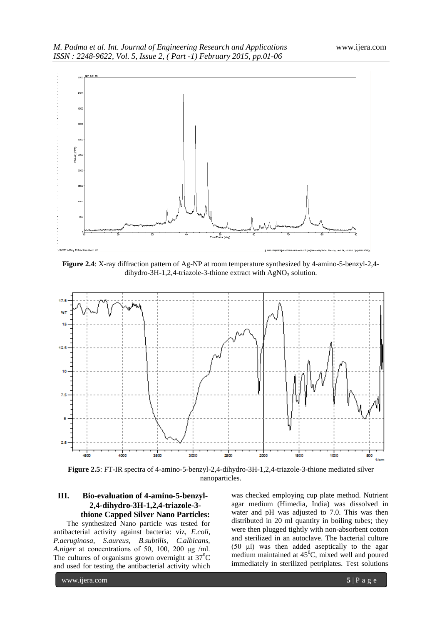

**Figure 2.4**: X-ray diffraction pattern of Ag-NP at room temperature synthesized by 4-amino-5-benzyl-2,4 dihydro-3H-1,2,4-triazole-3-thione extract with  $AeNO_3$  solution.



**Figure 2.5**: FT-IR spectra of 4-amino-5-benzyl-2,4-dihydro-3H-1,2,4-triazole-3-thione mediated silver nanoparticles.

# **III. Bio-evaluation of 4-amino-5-benzyl-2,4-dihydro-3H-1,2,4-triazole-3 thione Capped Silver Nano Particles:**

The synthesized Nano particle was tested for antibacterial activity against bacteria: viz, *E.coli, P.aeruginosa, S.aureus, B.subtilis, C.albicans, A.niger* at concentrations of 50, 100, 200 μg /ml. The cultures of organisms grown overnight at  $37^{\circ}$ C and used for testing the antibacterial activity which was checked employing cup plate method. Nutrient agar medium (Himedia, India) was dissolved in water and pH was adjusted to 7.0. This was then distributed in 20 ml quantity in boiling tubes; they were then plugged tightly with non-absorbent cotton and sterilized in an autoclave. The bacterial culture (50 μl) was then added aseptically to the agar medium maintained at  $45^{\circ}$ C, mixed well and poured immediately in sterilized petriplates. Test solutions

www.ijera.com **5** | P a g e